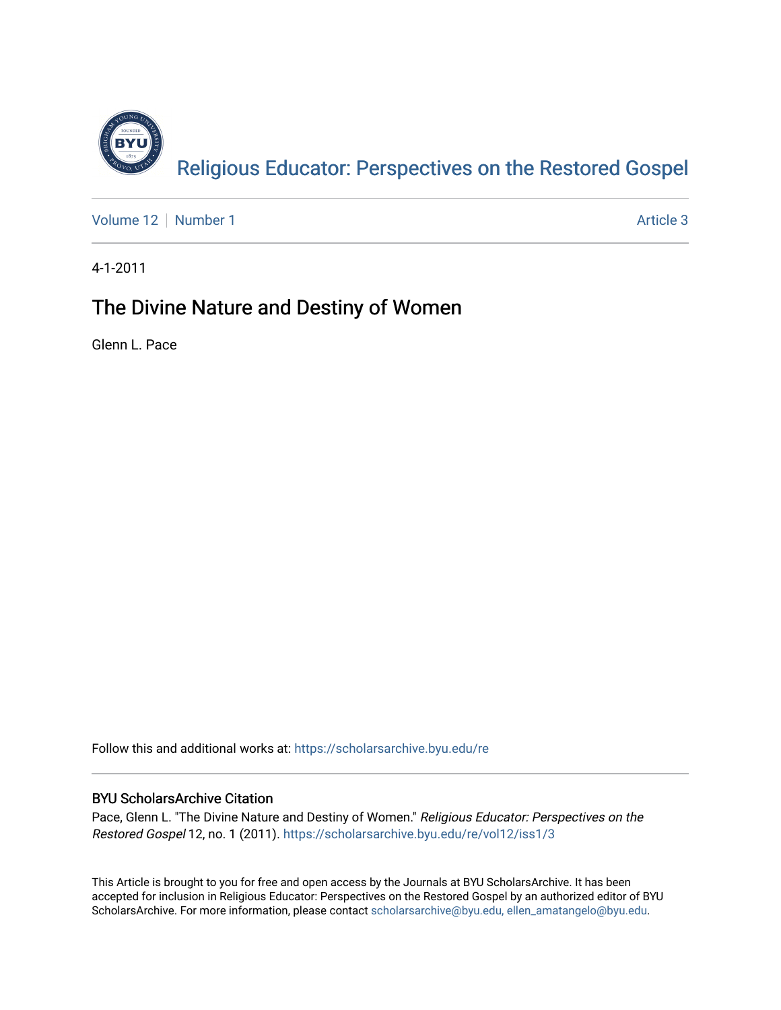

[Volume 12](https://scholarsarchive.byu.edu/re/vol12) [Number 1](https://scholarsarchive.byu.edu/re/vol12/iss1) Article 3

4-1-2011

## The Divine Nature and Destiny of Women

Glenn L. Pace

Follow this and additional works at: [https://scholarsarchive.byu.edu/re](https://scholarsarchive.byu.edu/re?utm_source=scholarsarchive.byu.edu%2Fre%2Fvol12%2Fiss1%2F3&utm_medium=PDF&utm_campaign=PDFCoverPages)

### BYU ScholarsArchive Citation

Pace, Glenn L. "The Divine Nature and Destiny of Women." Religious Educator: Perspectives on the Restored Gospel 12, no. 1 (2011). [https://scholarsarchive.byu.edu/re/vol12/iss1/3](https://scholarsarchive.byu.edu/re/vol12/iss1/3?utm_source=scholarsarchive.byu.edu%2Fre%2Fvol12%2Fiss1%2F3&utm_medium=PDF&utm_campaign=PDFCoverPages)

This Article is brought to you for free and open access by the Journals at BYU ScholarsArchive. It has been accepted for inclusion in Religious Educator: Perspectives on the Restored Gospel by an authorized editor of BYU ScholarsArchive. For more information, please contact [scholarsarchive@byu.edu, ellen\\_amatangelo@byu.edu.](mailto:scholarsarchive@byu.edu,%20ellen_amatangelo@byu.edu)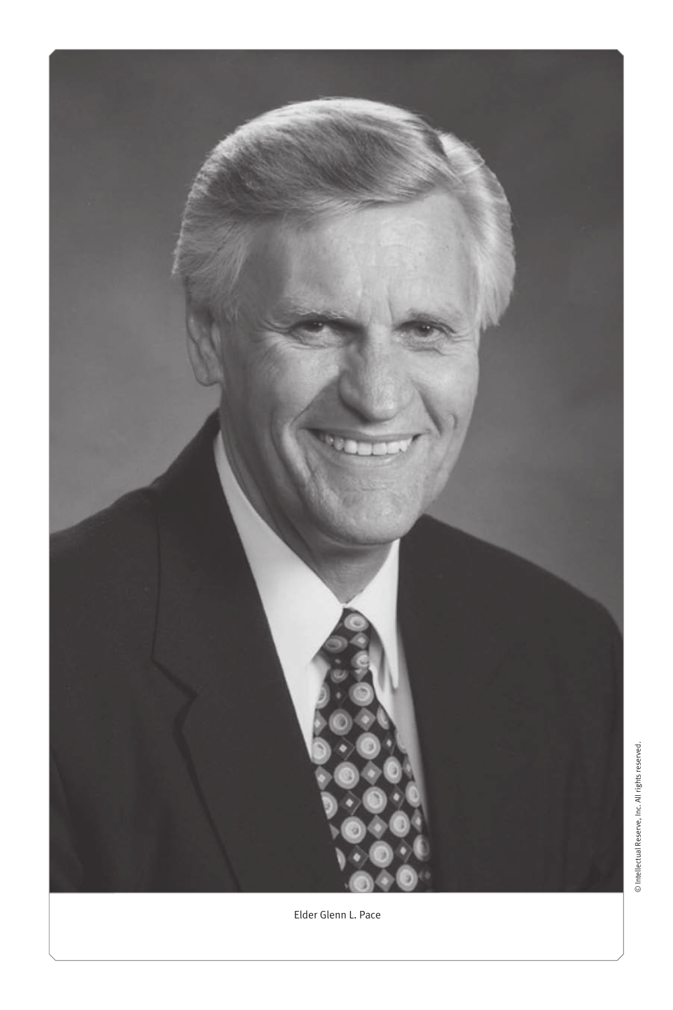

Elder Glenn L. Pace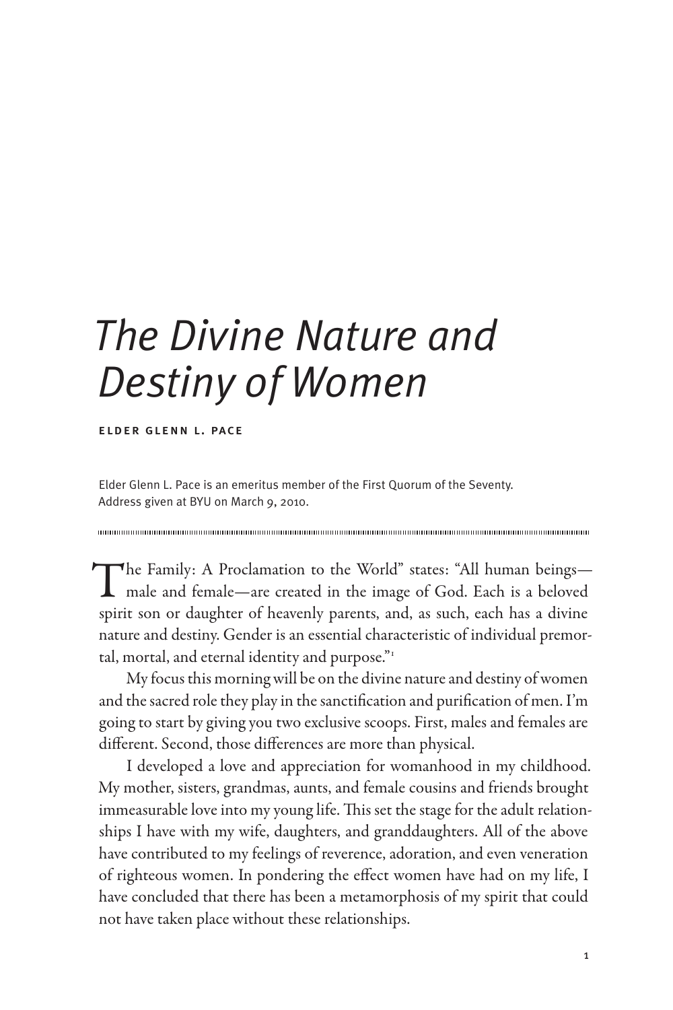# *The Divine Nature and Destiny of Women*

elder glenn l. pace

Elder Glenn L. Pace is an emeritus member of the First Quorum of the Seventy. Address given at BYU on March 9, 2010.

The Family: A Proclamation to the World" states: "All human beings—<br>male and female—are created in the image of God. Each is a beloved spirit son or daughter of heavenly parents, and, as such, each has a divine nature and destiny. Gender is an essential characteristic of individual premortal, mortal, and eternal identity and purpose. $\mathbb{R}^1$ 

My focus this morning will be on the divine nature and destiny of women and the sacred role they play in the sanctification and purification of men. I'm going to start by giving you two exclusive scoops. First, males and females are different. Second, those differences are more than physical.

I developed a love and appreciation for womanhood in my childhood. My mother, sisters, grandmas, aunts, and female cousins and friends brought immeasurable love into my young life. This set the stage for the adult relationships I have with my wife, daughters, and granddaughters. All of the above have contributed to my feelings of reverence, adoration, and even veneration of righteous women. In pondering the effect women have had on my life, I have concluded that there has been a metamorphosis of my spirit that could not have taken place without these relationships.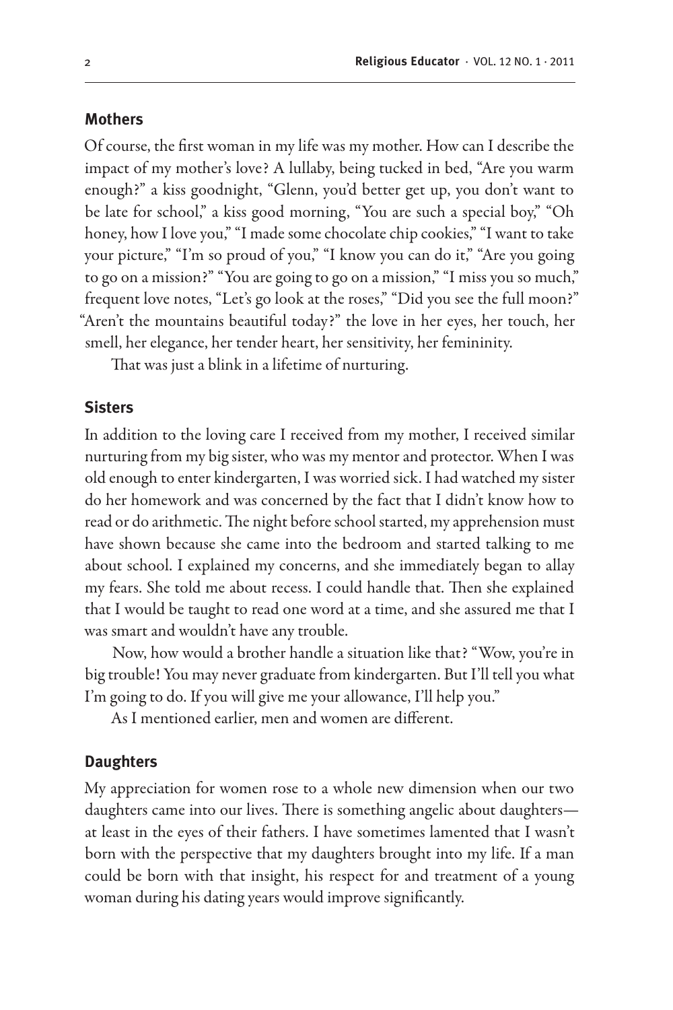#### **Mothers**

Of course, the first woman in my life was my mother. How can I describe the impact of my mother's love? A lullaby, being tucked in bed, "Are you warm enough?" a kiss goodnight, "Glenn, you'd better get up, you don't want to be late for school," a kiss good morning, "You are such a special boy," "Oh honey, how I love you," "I made some chocolate chip cookies," "I want to take your picture," "I'm so proud of you," "I know you can do it," "Are you going to go on a mission?" "You are going to go on a mission," "I miss you so much," frequent love notes, "Let's go look at the roses," "Did you see the full moon?" "Aren't the mountains beautiful today?" the love in her eyes, her touch, her smell, her elegance, her tender heart, her sensitivity, her femininity.

That was just a blink in a lifetime of nurturing.

#### **Sisters**

In addition to the loving care I received from my mother, I received similar nurturing from my big sister, who was my mentor and protector. When I was old enough to enter kindergarten, I was worried sick. I had watched my sister do her homework and was concerned by the fact that I didn't know how to read or do arithmetic. The night before school started, my apprehension must have shown because she came into the bedroom and started talking to me about school. I explained my concerns, and she immediately began to allay my fears. She told me about recess. I could handle that. Then she explained that I would be taught to read one word at a time, and she assured me that I was smart and wouldn't have any trouble.

Now, how would a brother handle a situation like that? "Wow, you're in big trouble! You may never graduate from kindergarten. But I'll tell you what I'm going to do. If you will give me your allowance, I'll help you."

As I mentioned earlier, men and women are different.

#### **Daughters**

My appreciation for women rose to a whole new dimension when our two daughters came into our lives. There is something angelic about daughters at least in the eyes of their fathers. I have sometimes lamented that I wasn't born with the perspective that my daughters brought into my life. If a man could be born with that insight, his respect for and treatment of a young woman during his dating years would improve significantly.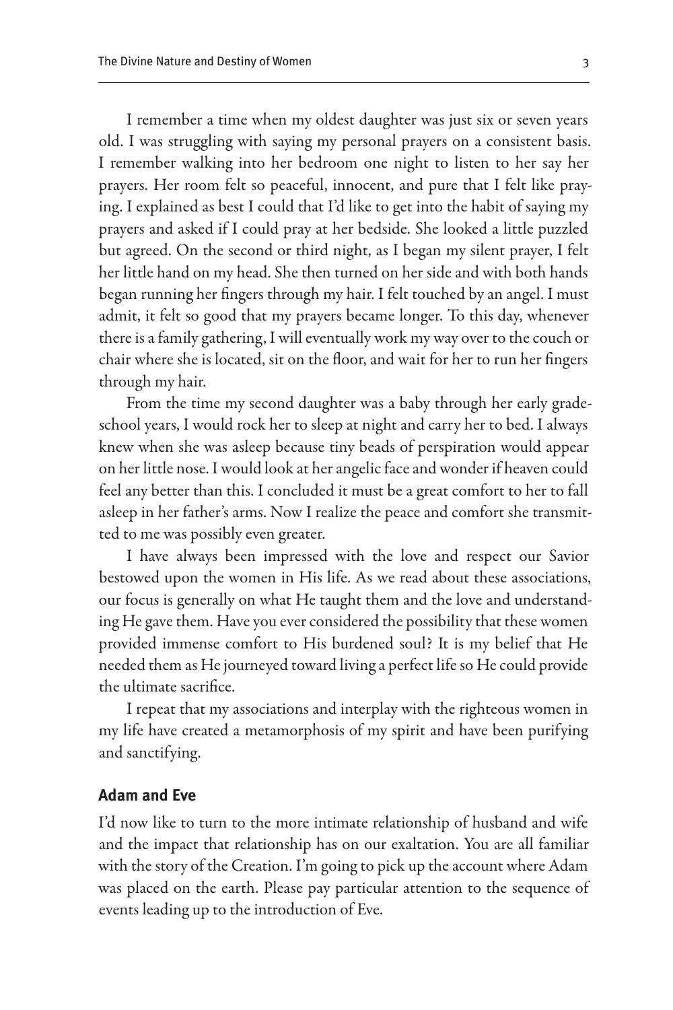I remember a time when my oldest daughter was just six or seven years old. I was struggling with saying my personal prayers on a consistent basis. I remember walking into her bedroom one night to listen to her say her prayers. Her room felt so peaceful, innocent, and pure that I felt like praying. I explained as best I could that I'd like to get into the habit of saying my prayers and asked if I could pray at her bedside. She looked a little puzzled but agreed. On the second or third night, as I began my silent prayer, I felt her little hand on my head. She then turned on her side and with both hands began running her fingers through my hair. I felt touched by an angel. I must admit, it felt so good that my prayers became longer. To this day, whenever there is a family gathering, I will eventually work my way over to the couch or chair where she is located, sit on the floor, and wait for her to run her fingers through my hair.

From the time my second daughter was a baby through her early gradeschool years, I would rock her to sleep at night and carry her to bed. I always knew when she was asleep because tiny beads of perspiration would appear on her little nose. I would look at her angelic face and wonder if heaven could feel any better than this. I concluded it must be a great comfort to her to fall asleep in her father's arms. Now I realize the peace and comfort she transmitted to me was possibly even greater.

I have always been impressed with the love and respect our Savior bestowed upon the women in His life. As we read about these associations, our focus is generally on what He taught them and the love and understanding He gave them. Have you ever considered the possibility that these women provided immense comfort to His burdened soul? It is my belief that He needed them as He journeyed toward living a perfect life so He could provide the ultimate sacrifice.

I repeat that my associations and interplay with the righteous women in my life have created a metamorphosis of my spirit and have been purifying and sanctifying.

#### **Adam and Eve**

I'd now like to turn to the more intimate relationship of husband and wife and the impact that relationship has on our exaltation. You are all familiar with the story of the Creation. I'm going to pick up the account where Adam was placed on the earth. Please pay particular attention to the sequence of events leading up to the introduction of Eve.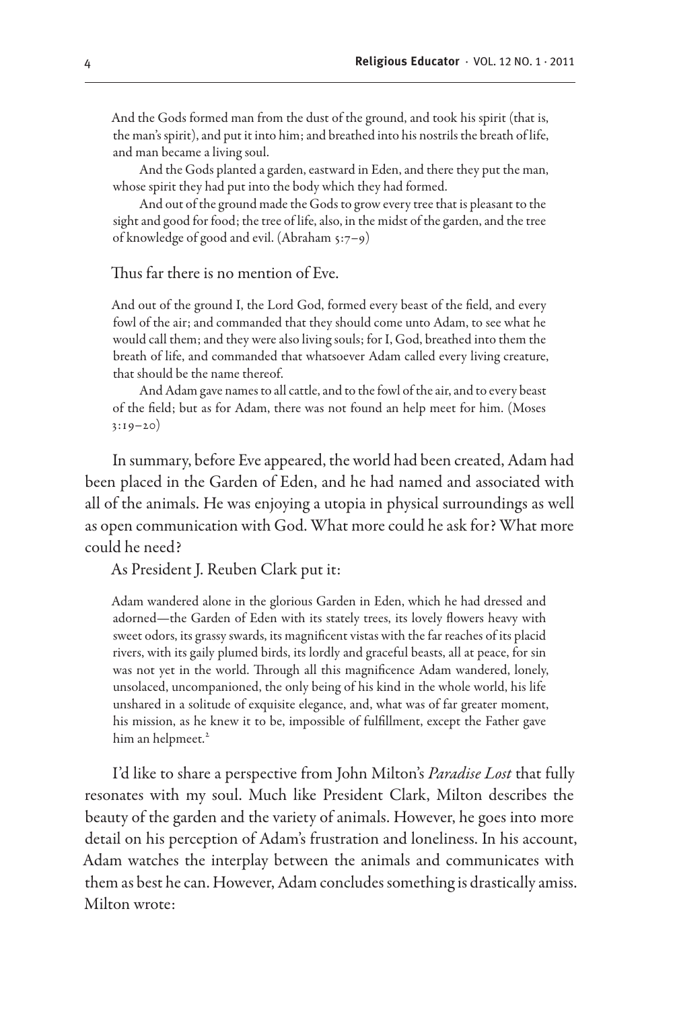And the Gods formed man from the dust of the ground, and took his spirit (that is, the man's spirit), and put it into him; and breathed into his nostrils the breath of life, and man became a living soul.

And the Gods planted a garden, eastward in Eden, and there they put the man, whose spirit they had put into the body which they had formed.

And out of the ground made the Gods to grow every tree that is pleasant to the sight and good for food; the tree of life, also, in the midst of the garden, and the tree of knowledge of good and evil. (Abraham 5:7–9)

Thus far there is no mention of Eve.

And out of the ground I, the Lord God, formed every beast of the field, and every fowl of the air; and commanded that they should come unto Adam, to see what he would call them; and they were also living souls; for I, God, breathed into them the breath of life, and commanded that whatsoever Adam called every living creature, that should be the name thereof.

And Adam gave names to all cattle, and to the fowl of the air, and to every beast of the field; but as for Adam, there was not found an help meet for him. (Moses 3:19–20)

In summary, before Eve appeared, the world had been created, Adam had been placed in the Garden of Eden, and he had named and associated with all of the animals. He was enjoying a utopia in physical surroundings as well as open communication with God. What more could he ask for? What more could he need?

As President J. Reuben Clark put it:

Adam wandered alone in the glorious Garden in Eden, which he had dressed and adorned—the Garden of Eden with its stately trees, its lovely flowers heavy with sweet odors, its grassy swards, its magnificent vistas with the far reaches of its placid rivers, with its gaily plumed birds, its lordly and graceful beasts, all at peace, for sin was not yet in the world. Through all this magnificence Adam wandered, lonely, unsolaced, uncompanioned, the only being of his kind in the whole world, his life unshared in a solitude of exquisite elegance, and, what was of far greater moment, his mission, as he knew it to be, impossible of fulfillment, except the Father gave him an helpmeet.<sup>2</sup>

I'd like to share a perspective from John Milton's *Paradise Lost* that fully resonates with my soul. Much like President Clark, Milton describes the beauty of the garden and the variety of animals. However, he goes into more detail on his perception of Adam's frustration and loneliness. In his account, Adam watches the interplay between the animals and communicates with them as best he can. However, Adam concludes something is drastically amiss. Milton wrote: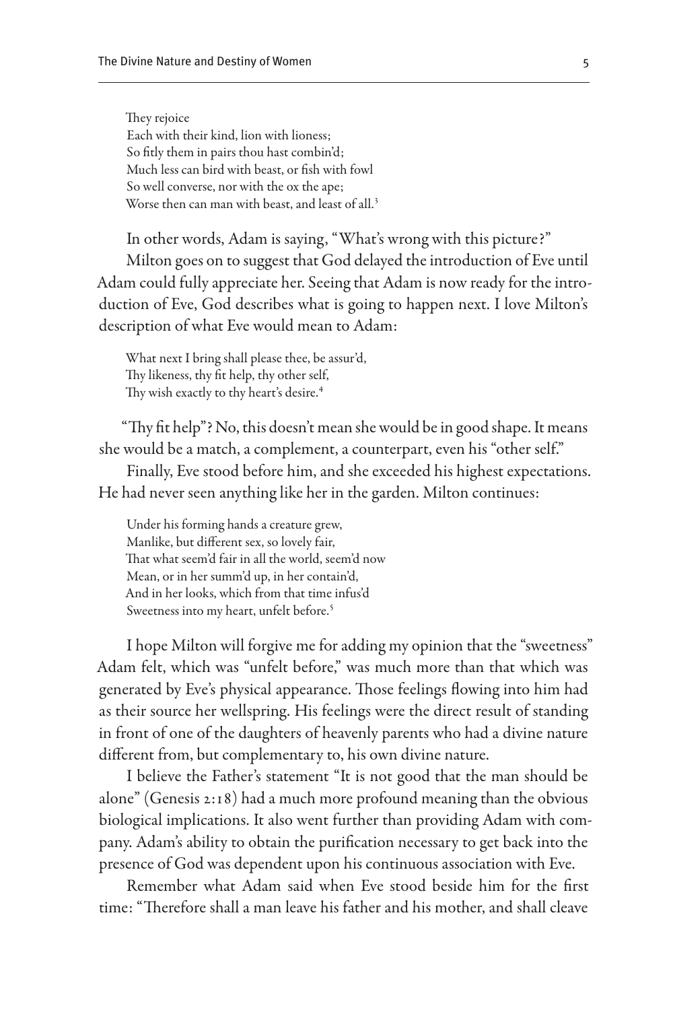They rejoice Each with their kind, lion with lioness; So fitly them in pairs thou hast combin'd; Much less can bird with beast, or fish with fowl So well converse, nor with the ox the ape; Worse then can man with beast, and least of all.<sup>3</sup>

In other words, Adam is saying, "What's wrong with this picture?" Milton goes on to suggest that God delayed the introduction of Eve until Adam could fully appreciate her. Seeing that Adam is now ready for the introduction of Eve, God describes what is going to happen next. I love Milton's description of what Eve would mean to Adam:

What next I bring shall please thee, be assur'd, Thy likeness, thy fit help, thy other self, Thy wish exactly to thy heart's desire.<sup>4</sup>

"Thy fit help"? No, this doesn't mean she would be in good shape. It means she would be a match, a complement, a counterpart, even his "other self." Finally, Eve stood before him, and she exceeded his highest expectations. He had never seen anything like her in the garden. Milton continues:

Under his forming hands a creature grew, Manlike, but different sex, so lovely fair, That what seem'd fair in all the world, seem'd now Mean, or in her summ'd up, in her contain'd, And in her looks, which from that time infus'd Sweetness into my heart, unfelt before.<sup>5</sup>

I hope Milton will forgive me for adding my opinion that the "sweetness" Adam felt, which was "unfelt before," was much more than that which was generated by Eve's physical appearance. Those feelings flowing into him had as their source her wellspring. His feelings were the direct result of standing in front of one of the daughters of heavenly parents who had a divine nature different from, but complementary to, his own divine nature.

I believe the Father's statement "It is not good that the man should be alone" (Genesis 2:18) had a much more profound meaning than the obvious biological implications. It also went further than providing Adam with company. Adam's ability to obtain the purification necessary to get back into the presence of God was dependent upon his continuous association with Eve.

Remember what Adam said when Eve stood beside him for the first time: "Therefore shall a man leave his father and his mother, and shall cleave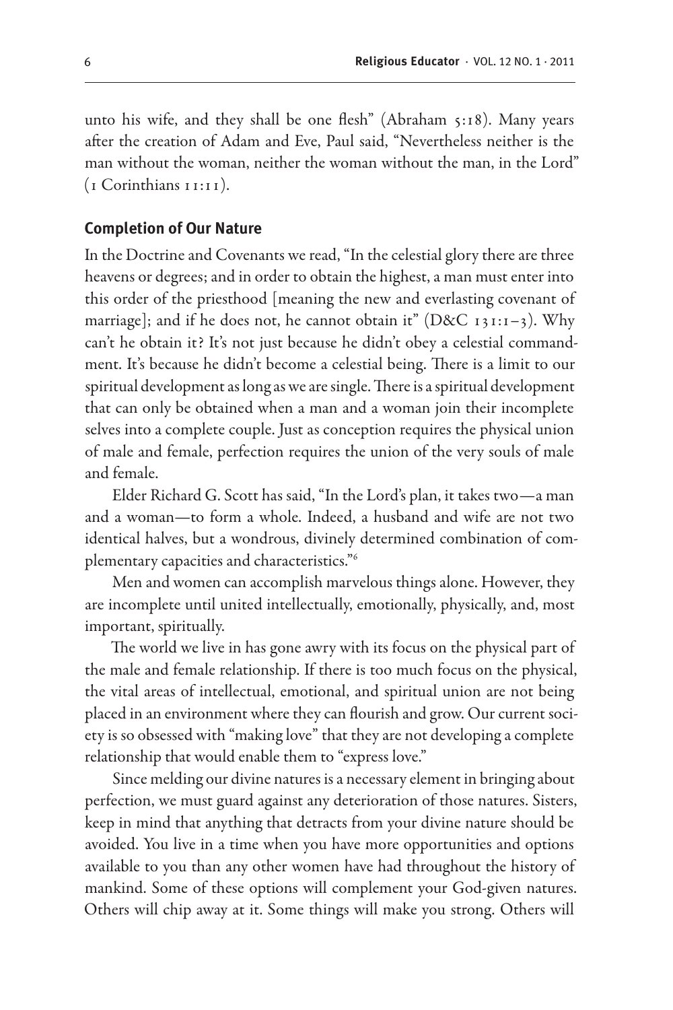unto his wife, and they shall be one flesh" (Abraham 5:18). Many years after the creation of Adam and Eve, Paul said, "Nevertheless neither is the man without the woman, neither the woman without the man, in the Lord" (1 Corinthians 11:11).

#### **Completion of Our Nature**

In the Doctrine and Covenants we read, "In the celestial glory there are three heavens or degrees; and in order to obtain the highest, a man must enter into this order of the priesthood [meaning the new and everlasting covenant of marriage]; and if he does not, he cannot obtain it" ( $D&C_1$ 31:1-3). Why can't he obtain it? It's not just because he didn't obey a celestial commandment. It's because he didn't become a celestial being. There is a limit to our spiritual development as long as we are single. There is a spiritual development that can only be obtained when a man and a woman join their incomplete selves into a complete couple. Just as conception requires the physical union of male and female, perfection requires the union of the very souls of male and female.

Elder Richard G. Scott has said, "In the Lord's plan, it takes two—a man and a woman—to form a whole. Indeed, a husband and wife are not two identical halves, but a wondrous, divinely determined combination of complementary capacities and characteristics."6

Men and women can accomplish marvelous things alone. However, they are incomplete until united intellectually, emotionally, physically, and, most important, spiritually.

The world we live in has gone awry with its focus on the physical part of the male and female relationship. If there is too much focus on the physical, the vital areas of intellectual, emotional, and spiritual union are not being placed in an environment where they can flourish and grow. Our current society is so obsessed with "making love" that they are not developing a complete relationship that would enable them to "express love."

Since melding our divine natures is a necessary element in bringing about perfection, we must guard against any deterioration of those natures. Sisters, keep in mind that anything that detracts from your divine nature should be avoided. You live in a time when you have more opportunities and options available to you than any other women have had throughout the history of mankind. Some of these options will complement your God-given natures. Others will chip away at it. Some things will make you strong. Others will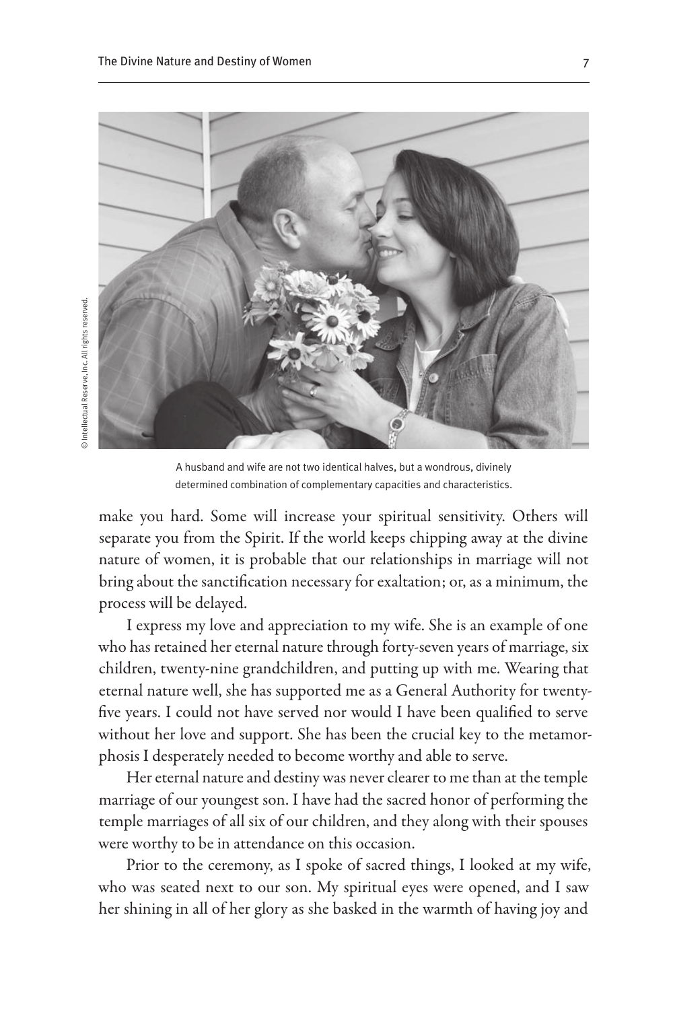

A husband and wife are not two identical halves, but a wondrous, divinely determined combination of complementary capacities and characteristics.

make you hard. Some will increase your spiritual sensitivity. Others will separate you from the Spirit. If the world keeps chipping away at the divine nature of women, it is probable that our relationships in marriage will not bring about the sanctification necessary for exaltation; or, as a minimum, the process will be delayed.

I express my love and appreciation to my wife. She is an example of one who has retained her eternal nature through forty-seven years of marriage, six children, twenty-nine grandchildren, and putting up with me. Wearing that eternal nature well, she has supported me as a General Authority for twentyfive years. I could not have served nor would I have been qualified to serve without her love and support. She has been the crucial key to the metamorphosis I desperately needed to become worthy and able to serve.

Her eternal nature and destiny was never clearer to me than at the temple marriage of our youngest son. I have had the sacred honor of performing the temple marriages of all six of our children, and they along with their spouses were worthy to be in attendance on this occasion.

Prior to the ceremony, as I spoke of sacred things, I looked at my wife, who was seated next to our son. My spiritual eyes were opened, and I saw her shining in all of her glory as she basked in the warmth of having joy and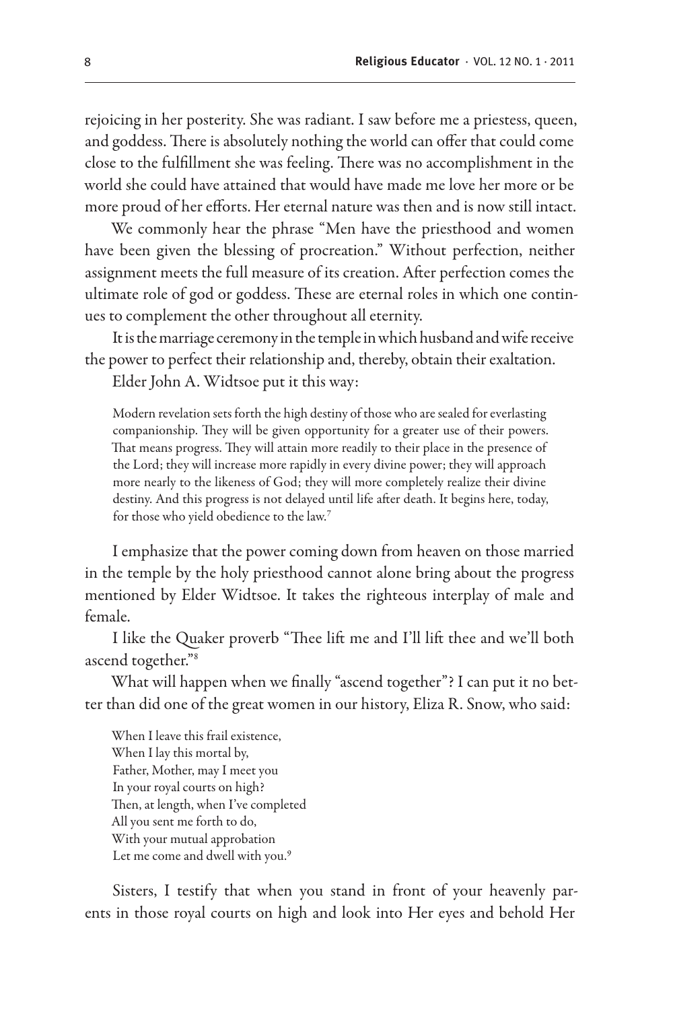rejoicing in her posterity. She was radiant. I saw before me a priestess, queen, and goddess. There is absolutely nothing the world can offer that could come close to the fulfillment she was feeling. There was no accomplishment in the world she could have attained that would have made me love her more or be more proud of her efforts. Her eternal nature was then and is now still intact.

We commonly hear the phrase "Men have the priesthood and women have been given the blessing of procreation." Without perfection, neither assignment meets the full measure of its creation. After perfection comes the ultimate role of god or goddess. These are eternal roles in which one continues to complement the other throughout all eternity.

It is the marriage ceremony in the temple in which husband and wife receive the power to perfect their relationship and, thereby, obtain their exaltation.

Elder John A. Widtsoe put it this way:

Modern revelation sets forth the high destiny of those who are sealed for everlasting companionship. They will be given opportunity for a greater use of their powers. That means progress. They will attain more readily to their place in the presence of the Lord; they will increase more rapidly in every divine power; they will approach more nearly to the likeness of God; they will more completely realize their divine destiny. And this progress is not delayed until life after death. It begins here, today, for those who yield obedience to the law.7

I emphasize that the power coming down from heaven on those married in the temple by the holy priesthood cannot alone bring about the progress mentioned by Elder Widtsoe. It takes the righteous interplay of male and female.

I like the Quaker proverb "Thee lift me and I'll lift thee and we'll both ascend together."8

What will happen when we finally "ascend together"? I can put it no better than did one of the great women in our history, Eliza R. Snow, who said:

When I leave this frail existence, When I lay this mortal by, Father, Mother, may I meet you In your royal courts on high? Then, at length, when I've completed All you sent me forth to do, With your mutual approbation Let me come and dwell with you.<sup>9</sup>

Sisters, I testify that when you stand in front of your heavenly parents in those royal courts on high and look into Her eyes and behold Her